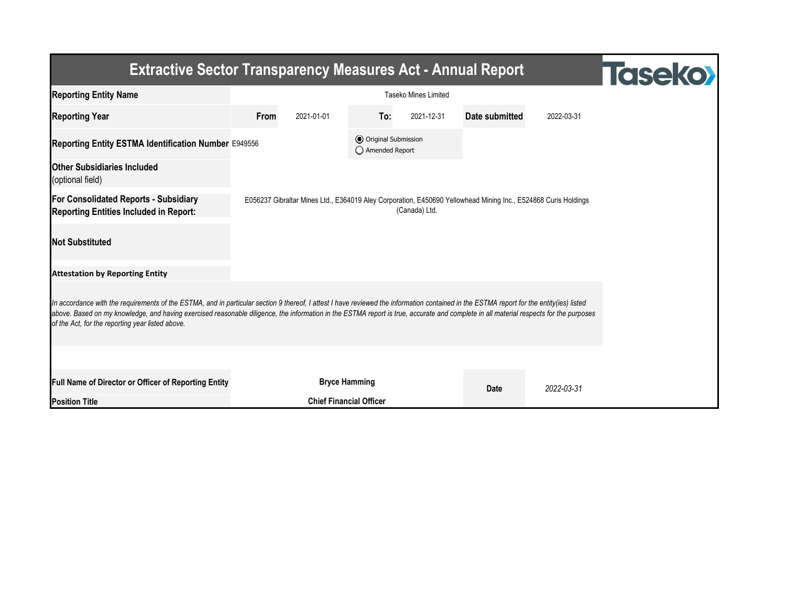| <b>Extractive Sector Transparency Measures Act - Annual Report</b>                                                                                                                                                                                                                                                                                                                                                                    | <b>Taseko</b>        |                                |                                                  |            |                |            |  |  |  |  |
|---------------------------------------------------------------------------------------------------------------------------------------------------------------------------------------------------------------------------------------------------------------------------------------------------------------------------------------------------------------------------------------------------------------------------------------|----------------------|--------------------------------|--------------------------------------------------|------------|----------------|------------|--|--|--|--|
| <b>Reporting Entity Name</b>                                                                                                                                                                                                                                                                                                                                                                                                          |                      |                                |                                                  |            |                |            |  |  |  |  |
| <b>Reporting Year</b>                                                                                                                                                                                                                                                                                                                                                                                                                 | From                 | 2021-01-01                     | To:                                              | 2021-12-31 | Date submitted | 2022-03-31 |  |  |  |  |
| Reporting Entity ESTMA Identification Number E949556                                                                                                                                                                                                                                                                                                                                                                                  |                      |                                | <b>●</b> Original Submission<br>◯ Amended Report |            |                |            |  |  |  |  |
| <b>Other Subsidiaries Included</b><br>(optional field)                                                                                                                                                                                                                                                                                                                                                                                |                      |                                |                                                  |            |                |            |  |  |  |  |
| <b>For Consolidated Reports - Subsidiary</b><br>E056237 Gibraltar Mines Ltd., E364019 Aley Corporation, E450690 Yellowhead Mining Inc., E524868 Curis Holdings<br>(Canada) Ltd.<br><b>Reporting Entities Included in Report:</b>                                                                                                                                                                                                      |                      |                                |                                                  |            |                |            |  |  |  |  |
| <b>Not Substituted</b>                                                                                                                                                                                                                                                                                                                                                                                                                |                      |                                |                                                  |            |                |            |  |  |  |  |
| <b>Attestation by Reporting Entity</b>                                                                                                                                                                                                                                                                                                                                                                                                |                      |                                |                                                  |            |                |            |  |  |  |  |
| In accordance with the requirements of the ESTMA, and in particular section 9 thereof, I attest I have reviewed the information contained in the ESTMA report for the entity(ies) listed<br>above. Based on my knowledge, and having exercised reasonable diligence, the information in the ESTMA report is true, accurate and complete in all material respects for the purposes<br>of the Act, for the reporting year listed above. |                      |                                |                                                  |            |                |            |  |  |  |  |
|                                                                                                                                                                                                                                                                                                                                                                                                                                       |                      |                                |                                                  |            |                |            |  |  |  |  |
| Full Name of Director or Officer of Reporting Entity                                                                                                                                                                                                                                                                                                                                                                                  | <b>Bryce Hamming</b> |                                |                                                  |            | Date           | 2022-03-31 |  |  |  |  |
| <b>Position Title</b>                                                                                                                                                                                                                                                                                                                                                                                                                 |                      | <b>Chief Financial Officer</b> |                                                  |            |                |            |  |  |  |  |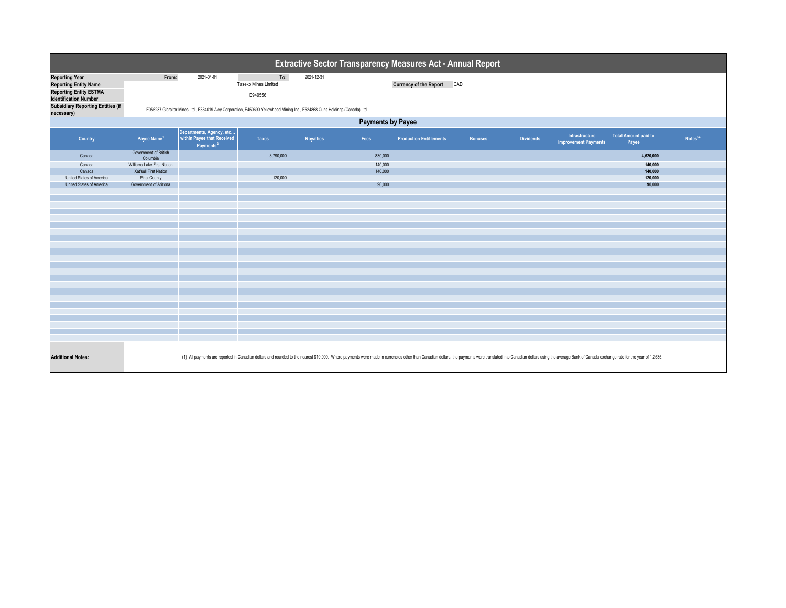| Extractive Sector Transparency Measures Act - Annual Report                                                                                                        |                                                                                                                                                                                                                                 |                                                                                                                                            |                                        |                  |         |                                |                |                  |                                               |                                      |                     |  |
|--------------------------------------------------------------------------------------------------------------------------------------------------------------------|---------------------------------------------------------------------------------------------------------------------------------------------------------------------------------------------------------------------------------|--------------------------------------------------------------------------------------------------------------------------------------------|----------------------------------------|------------------|---------|--------------------------------|----------------|------------------|-----------------------------------------------|--------------------------------------|---------------------|--|
| <b>Reporting Year</b><br><b>Reporting Entity Name</b><br><b>Reporting Entity ESTMA</b><br><b>Identification Number</b><br><b>Subsidiary Reporting Entities (if</b> | From:                                                                                                                                                                                                                           | 2021-01-01<br>E056237 Gibraltar Mines Ltd., E364019 Aley Corporation, E450690 Yellowhead Mining Inc., E524868 Curis Holdings (Canada) Ltd. | To:<br>Taseko Mines Limited<br>E949556 | 2021-12-31       |         | <b>Currency of the Report</b>  | CAD            |                  |                                               |                                      |                     |  |
| necessary)                                                                                                                                                         | <b>Payments by Payee</b>                                                                                                                                                                                                        |                                                                                                                                            |                                        |                  |         |                                |                |                  |                                               |                                      |                     |  |
| Country                                                                                                                                                            | Payee Name <sup>1</sup>                                                                                                                                                                                                         | Departments, Agency, etc<br>within Payee that Received<br>Payments <sup>2</sup>                                                            | <b>Taxes</b>                           | <b>Royalties</b> | Fees    | <b>Production Entitlements</b> | <b>Bonuses</b> | <b>Dividends</b> | Infrastructure<br><b>Improvement Payments</b> | <b>Total Amount paid to</b><br>Payee | Notes <sup>34</sup> |  |
| Canada                                                                                                                                                             | Government of British<br>Columbia                                                                                                                                                                                               |                                                                                                                                            | 3,790,000                              |                  | 830,000 |                                |                |                  |                                               | 4,620,000                            |                     |  |
| Canada                                                                                                                                                             | Williams Lake First Nation                                                                                                                                                                                                      |                                                                                                                                            |                                        |                  | 140,000 |                                |                |                  |                                               | 140,000                              |                     |  |
| Canada                                                                                                                                                             | Xat'sull First Nation                                                                                                                                                                                                           |                                                                                                                                            |                                        |                  | 140,000 |                                |                |                  |                                               | 140,000                              |                     |  |
| United States of America                                                                                                                                           | Pinal County                                                                                                                                                                                                                    |                                                                                                                                            | 120,000                                |                  |         |                                |                |                  |                                               | 120,000                              |                     |  |
| United States of America                                                                                                                                           | Government of Arizona                                                                                                                                                                                                           |                                                                                                                                            |                                        |                  | 90,000  |                                |                |                  |                                               | 90,000                               |                     |  |
|                                                                                                                                                                    |                                                                                                                                                                                                                                 |                                                                                                                                            |                                        |                  |         |                                |                |                  |                                               |                                      |                     |  |
|                                                                                                                                                                    |                                                                                                                                                                                                                                 |                                                                                                                                            |                                        |                  |         |                                |                |                  |                                               |                                      |                     |  |
|                                                                                                                                                                    |                                                                                                                                                                                                                                 |                                                                                                                                            |                                        |                  |         |                                |                |                  |                                               |                                      |                     |  |
|                                                                                                                                                                    |                                                                                                                                                                                                                                 |                                                                                                                                            |                                        |                  |         |                                |                |                  |                                               |                                      |                     |  |
|                                                                                                                                                                    |                                                                                                                                                                                                                                 |                                                                                                                                            |                                        |                  |         |                                |                |                  |                                               |                                      |                     |  |
|                                                                                                                                                                    |                                                                                                                                                                                                                                 |                                                                                                                                            |                                        |                  |         |                                |                |                  |                                               |                                      |                     |  |
|                                                                                                                                                                    |                                                                                                                                                                                                                                 |                                                                                                                                            |                                        |                  |         |                                |                |                  |                                               |                                      |                     |  |
|                                                                                                                                                                    |                                                                                                                                                                                                                                 |                                                                                                                                            |                                        |                  |         |                                |                |                  |                                               |                                      |                     |  |
|                                                                                                                                                                    |                                                                                                                                                                                                                                 |                                                                                                                                            |                                        |                  |         |                                |                |                  |                                               |                                      |                     |  |
|                                                                                                                                                                    |                                                                                                                                                                                                                                 |                                                                                                                                            |                                        |                  |         |                                |                |                  |                                               |                                      |                     |  |
|                                                                                                                                                                    |                                                                                                                                                                                                                                 |                                                                                                                                            |                                        |                  |         |                                |                |                  |                                               |                                      |                     |  |
|                                                                                                                                                                    |                                                                                                                                                                                                                                 |                                                                                                                                            |                                        |                  |         |                                |                |                  |                                               |                                      |                     |  |
|                                                                                                                                                                    |                                                                                                                                                                                                                                 |                                                                                                                                            |                                        |                  |         |                                |                |                  |                                               |                                      |                     |  |
|                                                                                                                                                                    |                                                                                                                                                                                                                                 |                                                                                                                                            |                                        |                  |         |                                |                |                  |                                               |                                      |                     |  |
|                                                                                                                                                                    |                                                                                                                                                                                                                                 |                                                                                                                                            |                                        |                  |         |                                |                |                  |                                               |                                      |                     |  |
|                                                                                                                                                                    |                                                                                                                                                                                                                                 |                                                                                                                                            |                                        |                  |         |                                |                |                  |                                               |                                      |                     |  |
|                                                                                                                                                                    |                                                                                                                                                                                                                                 |                                                                                                                                            |                                        |                  |         |                                |                |                  |                                               |                                      |                     |  |
|                                                                                                                                                                    |                                                                                                                                                                                                                                 |                                                                                                                                            |                                        |                  |         |                                |                |                  |                                               |                                      |                     |  |
|                                                                                                                                                                    |                                                                                                                                                                                                                                 |                                                                                                                                            |                                        |                  |         |                                |                |                  |                                               |                                      |                     |  |
|                                                                                                                                                                    |                                                                                                                                                                                                                                 |                                                                                                                                            |                                        |                  |         |                                |                |                  |                                               |                                      |                     |  |
|                                                                                                                                                                    |                                                                                                                                                                                                                                 |                                                                                                                                            |                                        |                  |         |                                |                |                  |                                               |                                      |                     |  |
|                                                                                                                                                                    |                                                                                                                                                                                                                                 |                                                                                                                                            |                                        |                  |         |                                |                |                  |                                               |                                      |                     |  |
|                                                                                                                                                                    |                                                                                                                                                                                                                                 |                                                                                                                                            |                                        |                  |         |                                |                |                  |                                               |                                      |                     |  |
|                                                                                                                                                                    |                                                                                                                                                                                                                                 |                                                                                                                                            |                                        |                  |         |                                |                |                  |                                               |                                      |                     |  |
| <b>Additional Notes:</b>                                                                                                                                           | (1) All payments are reported in Canadian dollars and rounded to the nearest \$10,000. Where payments were made in currencies other than Canadian dollars, the payments were translated into Canadian dollars using the average |                                                                                                                                            |                                        |                  |         |                                |                |                  |                                               |                                      |                     |  |